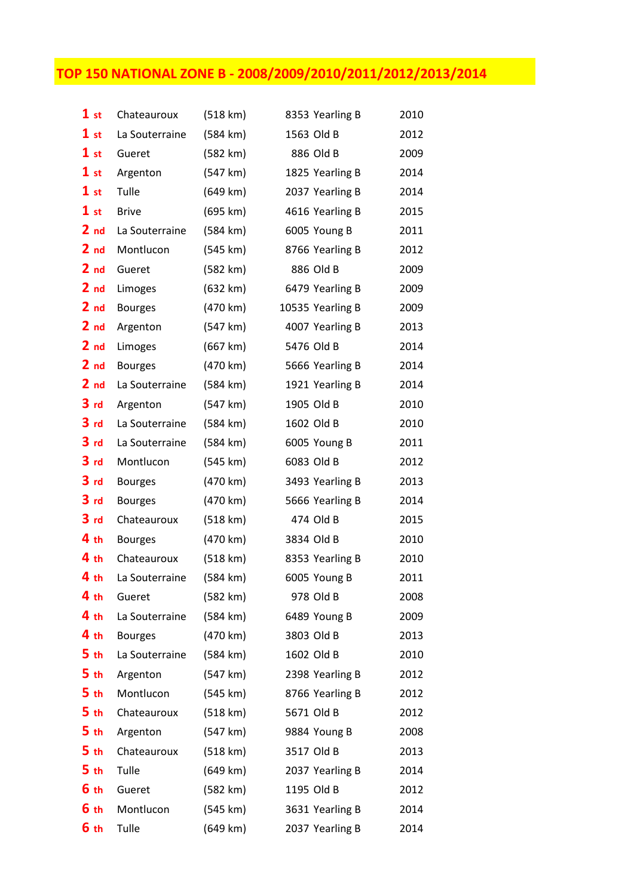## TOP 150 NATIONAL ZONE B - 2008/2009/2010/2011/2012/2013/2014

| 1st             | Chateauroux    | (518 km) | 8353 Yearling B  | 2010 |
|-----------------|----------------|----------|------------------|------|
| 1st             | La Souterraine | (584 km) | 1563 Old B       | 2012 |
| 1st             | Gueret         | (582 km) | 886 Old B        | 2009 |
| 1st             | Argenton       | (547 km) | 1825 Yearling B  | 2014 |
| 1st             | Tulle          | (649 km) | 2037 Yearling B  | 2014 |
| 1st             | <b>Brive</b>   | (695 km) | 4616 Yearling B  | 2015 |
| 2 <sub>nd</sub> | La Souterraine | (584 km) | 6005 Young B     | 2011 |
| 2 <sub>nd</sub> | Montlucon      | (545 km) | 8766 Yearling B  | 2012 |
| 2 <sub>nd</sub> | Gueret         | (582 km) | 886 Old B        | 2009 |
| 2 <sub>nd</sub> | Limoges        | (632 km) | 6479 Yearling B  | 2009 |
| 2 <sub>nd</sub> | <b>Bourges</b> | (470 km) | 10535 Yearling B | 2009 |
| 2 <sub>nd</sub> | Argenton       | (547 km) | 4007 Yearling B  | 2013 |
| 2 <sub>nd</sub> | Limoges        | (667 km) | 5476 Old B       | 2014 |
| 2 <sub>nd</sub> | <b>Bourges</b> | (470 km) | 5666 Yearling B  | 2014 |
| 2 <sub>nd</sub> | La Souterraine | (584 km) | 1921 Yearling B  | 2014 |
| 3 <sub>rd</sub> | Argenton       | (547 km) | 1905 Old B       | 2010 |
| 3 <sub>rd</sub> | La Souterraine | (584 km) | 1602 Old B       | 2010 |
| 3 <sub>rd</sub> | La Souterraine | (584 km) | 6005 Young B     | 2011 |
| 3 <sub>rd</sub> | Montlucon      | (545 km) | 6083 Old B       | 2012 |
| 3 <sub>rd</sub> | <b>Bourges</b> | (470 km) | 3493 Yearling B  | 2013 |
| 3 <sub>rd</sub> | <b>Bourges</b> | (470 km) | 5666 Yearling B  | 2014 |
| 3 <sub>rd</sub> | Chateauroux    | (518 km) | 474 Old B        | 2015 |
| 4 <sub>th</sub> | <b>Bourges</b> | (470 km) | 3834 Old B       | 2010 |
| 4 <sub>th</sub> | Chateauroux    | (518 km) | 8353 Yearling B  | 2010 |
| 4 <sub>th</sub> | La Souterraine | (584 km) | 6005 Young B     | 2011 |
| 4 <sub>th</sub> | Gueret         | (582 km) | 978 Old B        | 2008 |
| 4 <sub>th</sub> | La Souterraine | (584 km) | 6489 Young B     | 2009 |
| 4 <sub>th</sub> | <b>Bourges</b> | (470 km) | 3803 Old B       | 2013 |
| 5 <sub>th</sub> | La Souterraine | (584 km) | 1602 Old B       | 2010 |
| 5 <sub>th</sub> | Argenton       | (547 km) | 2398 Yearling B  | 2012 |
| 5 <sub>th</sub> | Montlucon      | (545 km) | 8766 Yearling B  | 2012 |
| 5 <sub>th</sub> | Chateauroux    | (518 km) | 5671 Old B       | 2012 |
| 5 <sub>th</sub> | Argenton       | (547 km) | 9884 Young B     | 2008 |
| 5 <sub>th</sub> | Chateauroux    | (518 km) | 3517 Old B       | 2013 |
| 5 <sub>th</sub> | Tulle          | (649 km) | 2037 Yearling B  | 2014 |
| 6 <sub>th</sub> | Gueret         | (582 km) | 1195 Old B       | 2012 |
| 6 th            | Montlucon      | (545 km) | 3631 Yearling B  | 2014 |
| 6 th            | Tulle          | (649 km) | 2037 Yearling B  | 2014 |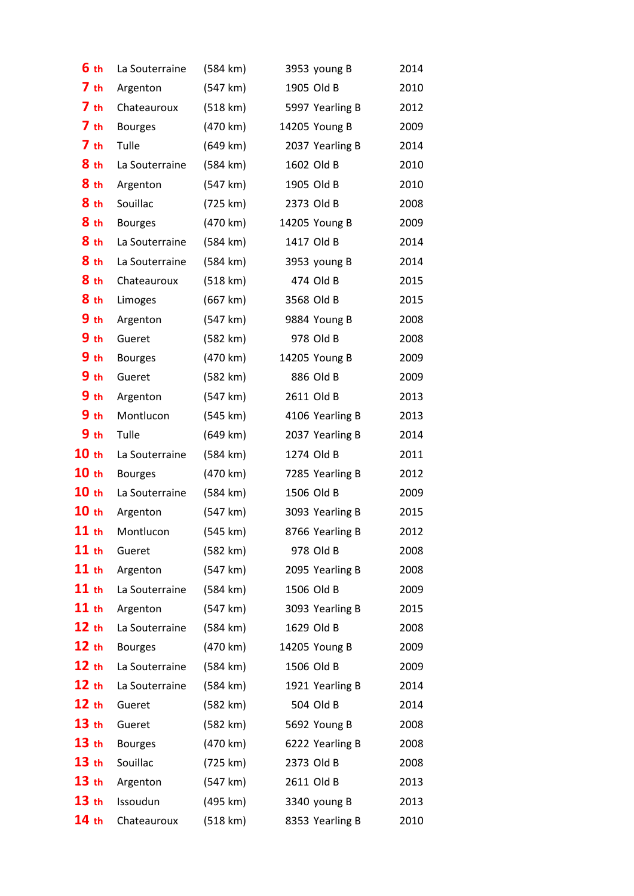| 6 <sub>th</sub>  | La Souterraine | (584 km)           | 3953 young B    | 2014 |
|------------------|----------------|--------------------|-----------------|------|
| 7 <sub>th</sub>  | Argenton       | (547 km)           | 1905 Old B      | 2010 |
| 7 <sub>th</sub>  | Chateauroux    | (518 km)           | 5997 Yearling B | 2012 |
| 7 <sub>th</sub>  | <b>Bourges</b> | (470 km)           | 14205 Young B   | 2009 |
| 7 <sub>th</sub>  | Tulle          | (649 km)           | 2037 Yearling B | 2014 |
| 8 <sub>th</sub>  | La Souterraine | (584 km)           | 1602 Old B      | 2010 |
| 8 <sub>th</sub>  | Argenton       | (547 km)           | 1905 Old B      | 2010 |
| 8 th             | Souillac       | (725 km)           | 2373 Old B      | 2008 |
| 8 th             | <b>Bourges</b> | (470 km)           | 14205 Young B   | 2009 |
| 8 <sub>th</sub>  | La Souterraine | (584 km)           | 1417 Old B      | 2014 |
| 8 <sub>th</sub>  | La Souterraine | (584 km)           | 3953 young B    | 2014 |
| 8 <sub>th</sub>  | Chateauroux    | (518 km)           | 474 Old B       | 2015 |
| 8 <sub>th</sub>  | Limoges        | (667 km)           | 3568 Old B      | 2015 |
| 9 <sub>th</sub>  | Argenton       | (547 km)           | 9884 Young B    | 2008 |
| 9 <sub>th</sub>  | Gueret         | (582 km)           | 978 Old B       | 2008 |
| 9 <sub>th</sub>  | <b>Bourges</b> | (470 km)           | 14205 Young B   | 2009 |
| 9 <sub>th</sub>  | Gueret         | (582 km)           | 886 Old B       | 2009 |
| 9 <sub>th</sub>  | Argenton       | (547 km)           | 2611 Old B      | 2013 |
| 9 <sub>th</sub>  | Montlucon      | (545 km)           | 4106 Yearling B | 2013 |
| 9 <sub>th</sub>  | Tulle          | (649 km)           | 2037 Yearling B | 2014 |
| 10 <sub>th</sub> | La Souterraine | (584 km)           | 1274 Old B      | 2011 |
| 10 <sub>th</sub> | <b>Bourges</b> | (470 km)           | 7285 Yearling B | 2012 |
| 10 <sub>th</sub> | La Souterraine | (584 km)           | 1506 Old B      | 2009 |
| 10 <sub>th</sub> | Argenton       | (547 km)           | 3093 Yearling B | 2015 |
| $11$ th          | Montlucon      | (545 km)           | 8766 Yearling B | 2012 |
| $11$ th          | Gueret         | (582 km)           | 978 Old B       | 2008 |
| $11$ th          | Argenton       | (547 km)           | 2095 Yearling B | 2008 |
| $11$ th          | La Souterraine | $(584 \text{ km})$ | 1506 Old B      | 2009 |
| 11 th            | Argenton       | (547 km)           | 3093 Yearling B | 2015 |
| 12 th            | La Souterraine | (584 km)           | 1629 Old B      | 2008 |
| 12 th            | <b>Bourges</b> | (470 km)           | 14205 Young B   | 2009 |
| 12 th            | La Souterraine | (584 km)           | 1506 Old B      | 2009 |
| 12 <sub>th</sub> | La Souterraine | (584 km)           | 1921 Yearling B | 2014 |
| 12 <sub>th</sub> | Gueret         | (582 km)           | 504 Old B       | 2014 |
| 13 <sub>th</sub> | Gueret         | (582 km)           | 5692 Young B    | 2008 |
| 13 <sub>th</sub> | <b>Bourges</b> | (470 km)           | 6222 Yearling B | 2008 |
| 13 <sub>th</sub> | Souillac       | (725 km)           | 2373 Old B      | 2008 |
| 13 <sub>th</sub> | Argenton       | (547 km)           | 2611 Old B      | 2013 |
| 13 <sub>th</sub> | Issoudun       | (495 km)           | 3340 young B    | 2013 |
| 14 <sub>th</sub> | Chateauroux    | (518 km)           | 8353 Yearling B | 2010 |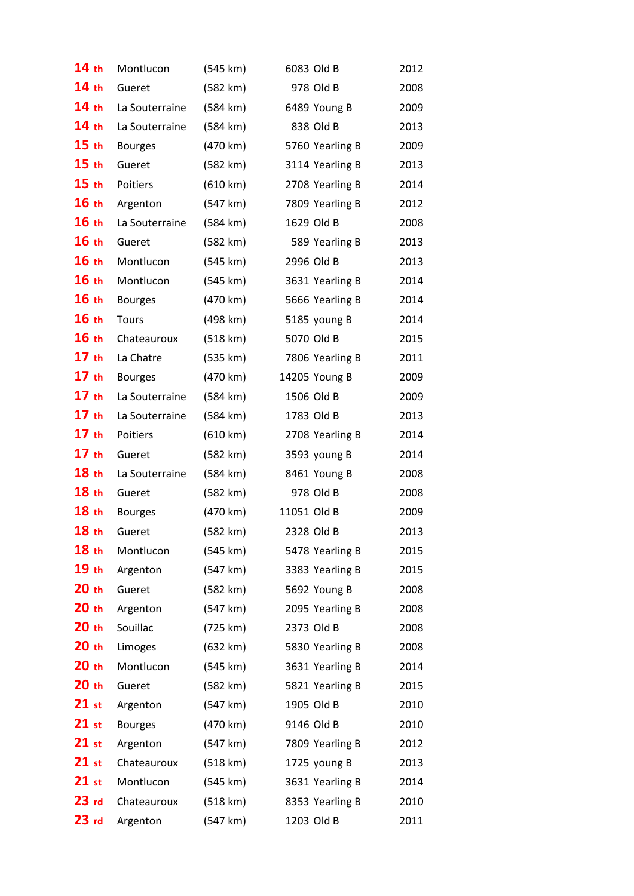| 14th             | Montlucon      | (545 km)           | 6083 Old B      | 2012 |
|------------------|----------------|--------------------|-----------------|------|
| 14 <sub>th</sub> | Gueret         | (582 km)           | 978 Old B       | 2008 |
| 14 <sub>th</sub> | La Souterraine | (584 km)           | 6489 Young B    | 2009 |
| 14 <sub>th</sub> | La Souterraine | (584 km)           | 838 Old B       | 2013 |
| 15 <sub>th</sub> | <b>Bourges</b> | (470 km)           | 5760 Yearling B | 2009 |
| 15 <sub>th</sub> | Gueret         | (582 km)           | 3114 Yearling B | 2013 |
| 15 <sub>th</sub> | Poitiers       | (610 km)           | 2708 Yearling B | 2014 |
| 16th             | Argenton       | (547 km)           | 7809 Yearling B | 2012 |
| 16th             | La Souterraine | (584 km)           | 1629 Old B      | 2008 |
| 16th             | Gueret         | (582 km)           | 589 Yearling B  | 2013 |
| 16th             | Montlucon      | (545 km)           | 2996 Old B      | 2013 |
| 16th             | Montlucon      | (545 km)           | 3631 Yearling B | 2014 |
| 16th             | <b>Bourges</b> | (470 km)           | 5666 Yearling B | 2014 |
| 16th             | Tours          | (498 km)           | 5185 young B    | 2014 |
| 16th             | Chateauroux    | (518 km)           | 5070 Old B      | 2015 |
| 17th             | La Chatre      | (535 km)           | 7806 Yearling B | 2011 |
| 17th             | <b>Bourges</b> | (470 km)           | 14205 Young B   | 2009 |
| 17th             | La Souterraine | (584 km)           | 1506 Old B      | 2009 |
| 17th             | La Souterraine | (584 km)           | 1783 Old B      | 2013 |
| 17th             | Poitiers       | (610 km)           | 2708 Yearling B | 2014 |
| 17th             | Gueret         | (582 km)           | 3593 young B    | 2014 |
| 18 <sub>th</sub> | La Souterraine | (584 km)           | 8461 Young B    | 2008 |
| 18 <sub>th</sub> | Gueret         | (582 km)           | 978 Old B       | 2008 |
| 18th             | <b>Bourges</b> | (470 km)           | 11051 Old B     | 2009 |
| 18 <sub>th</sub> | Gueret         | (582 km)           | 2328 Old B      | 2013 |
| 18 <sub>th</sub> | Montlucon      | (545 km)           | 5478 Yearling B | 2015 |
| 19 <sub>th</sub> | Argenton       | (547 km)           | 3383 Yearling B | 2015 |
| 20 <sub>th</sub> | Gueret         | (582 km)           | 5692 Young B    | 2008 |
| 20 <sub>th</sub> | Argenton       | (547 km)           | 2095 Yearling B | 2008 |
| 20 <sub>th</sub> | Souillac       | (725 km)           | 2373 Old B      | 2008 |
| 20 <sub>th</sub> | Limoges        | $(632 \text{ km})$ | 5830 Yearling B | 2008 |
| 20 <sub>th</sub> | Montlucon      | (545 km)           | 3631 Yearling B | 2014 |
| 20 <sub>th</sub> | Gueret         | (582 km)           | 5821 Yearling B | 2015 |
| $21$ st          | Argenton       | (547 km)           | 1905 Old B      | 2010 |
| $21$ st          | <b>Bourges</b> | (470 km)           | 9146 Old B      | 2010 |
| $21$ st          | Argenton       | (547 km)           | 7809 Yearling B | 2012 |
| $21$ st          | Chateauroux    | (518 km)           | 1725 young B    | 2013 |
| $21$ st          | Montlucon      | (545 km)           | 3631 Yearling B | 2014 |
| 23 <sub>rd</sub> | Chateauroux    | (518 km)           | 8353 Yearling B | 2010 |
| 23 <sub>rd</sub> | Argenton       | (547 km)           | 1203 Old B      | 2011 |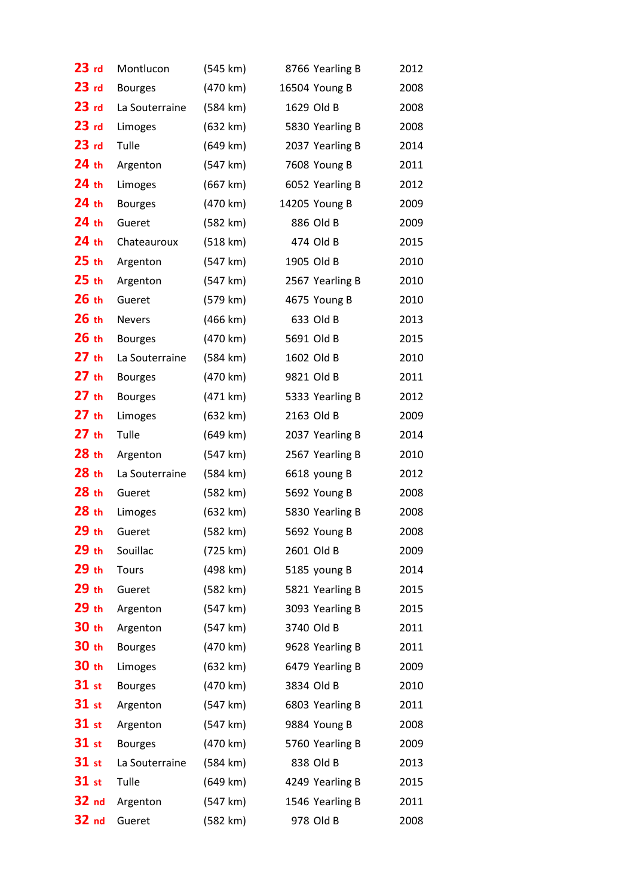| 23 <sub>rd</sub> | Montlucon      | (545 km) | 8766 Yearling B | 2012 |
|------------------|----------------|----------|-----------------|------|
| 23 <sub>rd</sub> | <b>Bourges</b> | (470 km) | 16504 Young B   | 2008 |
| 23 <sub>rd</sub> | La Souterraine | (584 km) | 1629 Old B      | 2008 |
| $23$ rd          | Limoges        | (632 km) | 5830 Yearling B | 2008 |
| 23 <sub>rd</sub> | Tulle          | (649 km) | 2037 Yearling B | 2014 |
| 24 <sub>th</sub> | Argenton       | (547 km) | 7608 Young B    | 2011 |
| 24 <sub>th</sub> | Limoges        | (667 km) | 6052 Yearling B | 2012 |
| $24$ th          | <b>Bourges</b> | (470 km) | 14205 Young B   | 2009 |
| $24$ th          | Gueret         | (582 km) | 886 Old B       | 2009 |
| $24$ th          | Chateauroux    | (518 km) | 474 Old B       | 2015 |
| $25$ th          | Argenton       | (547 km) | 1905 Old B      | 2010 |
| 25 <sub>th</sub> | Argenton       | (547 km) | 2567 Yearling B | 2010 |
| 26th             | Gueret         | (579 km) | 4675 Young B    | 2010 |
| 26th             | <b>Nevers</b>  | (466 km) | 633 Old B       | 2013 |
| 26th             | <b>Bourges</b> | (470 km) | 5691 Old B      | 2015 |
| 27th             | La Souterraine | (584 km) | 1602 Old B      | 2010 |
| 27th             | <b>Bourges</b> | (470 km) | 9821 Old B      | 2011 |
| 27th             | <b>Bourges</b> | (471 km) | 5333 Yearling B | 2012 |
| 27th             | Limoges        | (632 km) | 2163 Old B      | 2009 |
| $27$ th          | Tulle          | (649 km) | 2037 Yearling B | 2014 |
| 28 <sub>th</sub> | Argenton       | (547 km) | 2567 Yearling B | 2010 |
| 28 <sub>th</sub> | La Souterraine | (584 km) | 6618 young B    | 2012 |
| 28 <sub>th</sub> | Gueret         | (582 km) | 5692 Young B    | 2008 |
| 28 <sub>th</sub> | Limoges        | (632 km) | 5830 Yearling B | 2008 |
| $29$ th          | Gueret         | (582 km) | 5692 Young B    | 2008 |
| 29th             | Souillac       | (725 km) | 2601 Old B      | 2009 |
| 29th             | Tours          | (498 km) | 5185 young B    | 2014 |
| 29th             | Gueret         | (582 km) | 5821 Yearling B | 2015 |
| 29 th            | Argenton       | (547 km) | 3093 Yearling B | 2015 |
| 30 th            | Argenton       | (547 km) | 3740 Old B      | 2011 |
| 30 th            | <b>Bourges</b> | (470 km) | 9628 Yearling B | 2011 |
| 30 th            | Limoges        | (632 km) | 6479 Yearling B | 2009 |
| $31$ st          | <b>Bourges</b> | (470 km) | 3834 Old B      | 2010 |
| $31$ st          | Argenton       | (547 km) | 6803 Yearling B | 2011 |
| <b>31</b> st     | Argenton       | (547 km) | 9884 Young B    | 2008 |
| $31$ st          | <b>Bourges</b> | (470 km) | 5760 Yearling B | 2009 |
| 31 st            | La Souterraine | (584 km) | 838 Old B       | 2013 |
| 31 st            | Tulle          | (649 km) | 4249 Yearling B | 2015 |
| 32 <sub>nd</sub> | Argenton       | (547 km) | 1546 Yearling B | 2011 |
| 32 <sub>nd</sub> | Gueret         | (582 km) | 978 Old B       | 2008 |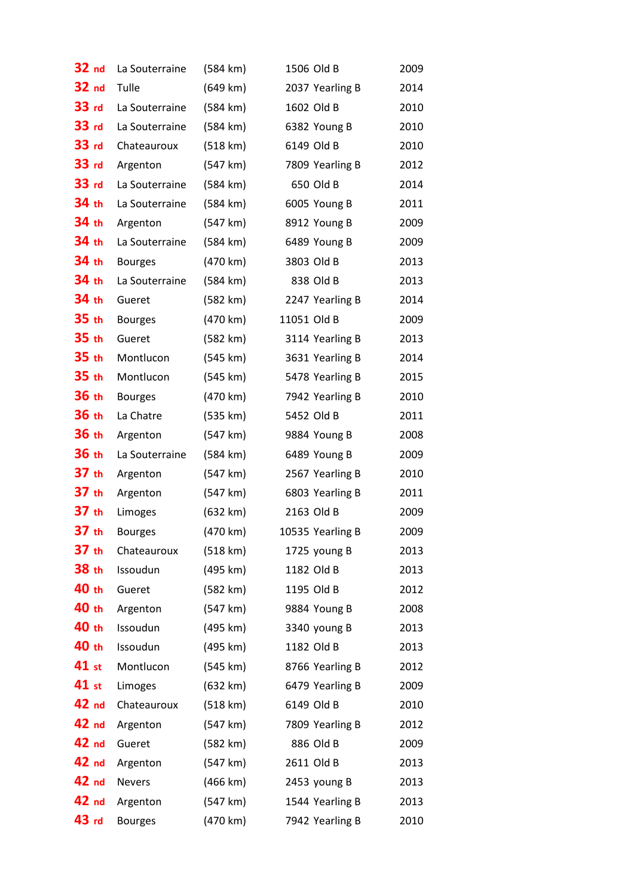| 32 nd            | La Souterraine | (584 km) | 1506 Old B       | 2009 |
|------------------|----------------|----------|------------------|------|
| 32 nd            | Tulle          | (649 km) | 2037 Yearling B  | 2014 |
| 33 <sub>rd</sub> | La Souterraine | (584 km) | 1602 Old B       | 2010 |
| 33 <sub>rd</sub> | La Souterraine | (584 km) | 6382 Young B     | 2010 |
| 33 rd            | Chateauroux    | (518 km) | 6149 Old B       | 2010 |
| 33 rd            | Argenton       | (547 km) | 7809 Yearling B  | 2012 |
| 33 rd            | La Souterraine | (584 km) | 650 Old B        | 2014 |
| 34 th            | La Souterraine | (584 km) | 6005 Young B     | 2011 |
| 34 th            | Argenton       | (547 km) | 8912 Young B     | 2009 |
| 34 th            | La Souterraine | (584 km) | 6489 Young B     | 2009 |
| 34 th            | <b>Bourges</b> | (470 km) | 3803 Old B       | 2013 |
| 34 th            | La Souterraine | (584 km) | 838 Old B        | 2013 |
| 34 th            | Gueret         | (582 km) | 2247 Yearling B  | 2014 |
| 35 th            | <b>Bourges</b> | (470 km) | 11051 Old B      | 2009 |
| 35 <sub>th</sub> | Gueret         | (582 km) | 3114 Yearling B  | 2013 |
| 35 <sub>th</sub> | Montlucon      | (545 km) | 3631 Yearling B  | 2014 |
| 35 <sub>th</sub> | Montlucon      | (545 km) | 5478 Yearling B  | 2015 |
| 36 th            | <b>Bourges</b> | (470 km) | 7942 Yearling B  | 2010 |
| 36 th            | La Chatre      | (535 km) | 5452 Old B       | 2011 |
| 36 th            | Argenton       | (547 km) | 9884 Young B     | 2008 |
| 36 th            | La Souterraine | (584 km) | 6489 Young B     | 2009 |
| 37 <sub>th</sub> | Argenton       | (547 km) | 2567 Yearling B  | 2010 |
| 37 <sub>th</sub> | Argenton       | (547 km) | 6803 Yearling B  | 2011 |
| 37 th            | Limoges        | (632 km) | 2163 Old B       | 2009 |
| 37 <sub>th</sub> | <b>Bourges</b> | (470 km) | 10535 Yearling B | 2009 |
| 37 <sub>th</sub> | Chateauroux    | (518 km) | 1725 young B     | 2013 |
| 38 th            | Issoudun       | (495 km) | 1182 Old B       | 2013 |
| 40 th            | Gueret         | (582 km) | 1195 Old B       | 2012 |
| 40 th            | Argenton       | (547 km) | 9884 Young B     | 2008 |
| 40 th            | Issoudun       | (495 km) | 3340 young B     | 2013 |
| 40 th            | Issoudun       | (495 km) | 1182 Old B       | 2013 |
| 41 st            | Montlucon      | (545 km) | 8766 Yearling B  | 2012 |
| 41 st            | Limoges        | (632 km) | 6479 Yearling B  | 2009 |
| 42 nd            | Chateauroux    | (518 km) | 6149 Old B       | 2010 |
| 42 nd            | Argenton       | (547 km) | 7809 Yearling B  | 2012 |
| 42 nd            | Gueret         | (582 km) | 886 Old B        | 2009 |
| 42 nd            | Argenton       | (547 km) | 2611 Old B       | 2013 |
| 42 nd            | <b>Nevers</b>  | (466 km) | 2453 young B     | 2013 |
| 42 nd            | Argenton       | (547 km) | 1544 Yearling B  | 2013 |
| $43$ rd          | <b>Bourges</b> | (470 km) | 7942 Yearling B  | 2010 |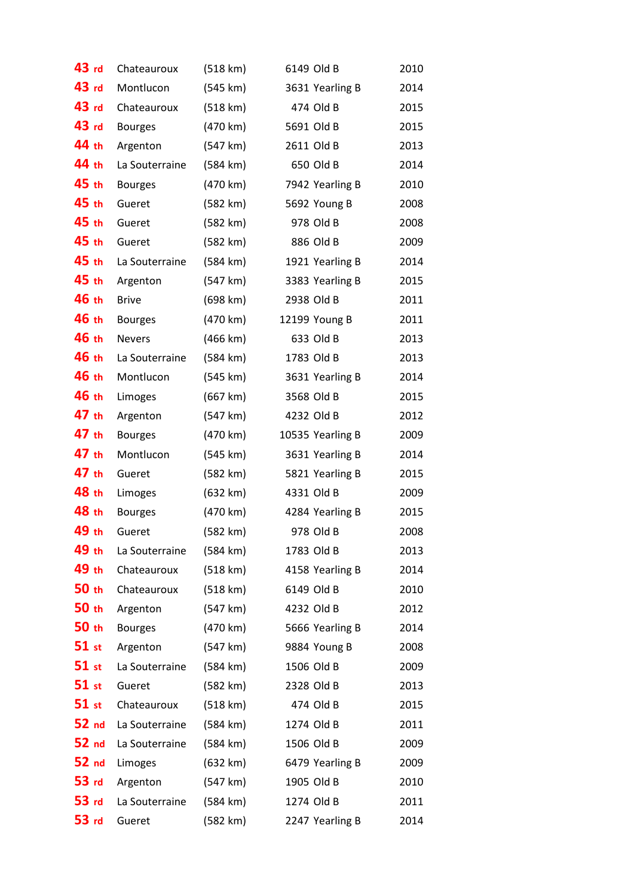| 43 rd            | Chateauroux    | (518 km)           | 6149 Old B       | 2010 |
|------------------|----------------|--------------------|------------------|------|
| 43 rd            | Montlucon      | (545 km)           | 3631 Yearling B  | 2014 |
| 43 <sub>rd</sub> | Chateauroux    | (518 km)           | 474 Old B        | 2015 |
| 43 rd            | <b>Bourges</b> | (470 km)           | 5691 Old B       | 2015 |
| 44 th            | Argenton       | (547 km)           | 2611 Old B       | 2013 |
| 44 th            | La Souterraine | (584 km)           | 650 Old B        | 2014 |
| 45 th            | <b>Bourges</b> | (470 km)           | 7942 Yearling B  | 2010 |
| 45 th            | Gueret         | (582 km)           | 5692 Young B     | 2008 |
| 45 th            | Gueret         | (582 km)           | 978 Old B        | 2008 |
| 45 th            | Gueret         | (582 km)           | 886 Old B        | 2009 |
| 45 th            | La Souterraine | $(584 \text{ km})$ | 1921 Yearling B  | 2014 |
| 45 th            | Argenton       | (547 km)           | 3383 Yearling B  | 2015 |
| 46 th            | <b>Brive</b>   | (698 km)           | 2938 Old B       | 2011 |
| 46 th            | <b>Bourges</b> | (470 km)           | 12199 Young B    | 2011 |
| 46 th            | <b>Nevers</b>  | (466 km)           | 633 Old B        | 2013 |
| 46 th            | La Souterraine | (584 km)           | 1783 Old B       | 2013 |
| 46 th            | Montlucon      | (545 km)           | 3631 Yearling B  | 2014 |
| 46 th            | Limoges        | (667 km)           | 3568 Old B       | 2015 |
| 47 th            | Argenton       | (547 km)           | 4232 Old B       | 2012 |
| 47 th            | <b>Bourges</b> | (470 km)           | 10535 Yearling B | 2009 |
| 47 th            | Montlucon      | (545 km)           | 3631 Yearling B  | 2014 |
| 47 th            | Gueret         | (582 km)           | 5821 Yearling B  | 2015 |
| 48 th            | Limoges        | (632 km)           | 4331 Old B       | 2009 |
| 48 th            | <b>Bourges</b> | (470 km)           | 4284 Yearling B  | 2015 |
| 49 th            | Gueret         | (582 km)           | 978 Old B        | 2008 |
| 49 th            | La Souterraine | (584 km)           | 1783 Old B       | 2013 |
| 49 th            | Chateauroux    | (518 km)           | 4158 Yearling B  | 2014 |
| 50 th            | Chateauroux    | (518 km)           | 6149 Old B       | 2010 |
| 50 th            | Argenton       | (547 km)           | 4232 Old B       | 2012 |
| 50 th            | <b>Bourges</b> | (470 km)           | 5666 Yearling B  | 2014 |
| $51$ st          | Argenton       | (547 km)           | 9884 Young B     | 2008 |
| $51$ st          | La Souterraine | (584 km)           | 1506 Old B       | 2009 |
| $51$ st          | Gueret         | (582 km)           | 2328 Old B       | 2013 |
| $51$ st          | Chateauroux    | (518 km)           | 474 Old B        | 2015 |
| 52 <sub>nd</sub> | La Souterraine | (584 km)           | 1274 Old B       | 2011 |
| 52 nd            | La Souterraine | (584 km)           | 1506 Old B       | 2009 |
| 52 <sub>nd</sub> | Limoges        | (632 km)           | 6479 Yearling B  | 2009 |
| <b>53 rd</b>     | Argenton       | (547 km)           | 1905 Old B       | 2010 |
| 53 <sub>rd</sub> | La Souterraine | (584 km)           | 1274 Old B       | 2011 |
| 53 <sub>rd</sub> | Gueret         | (582 km)           | 2247 Yearling B  | 2014 |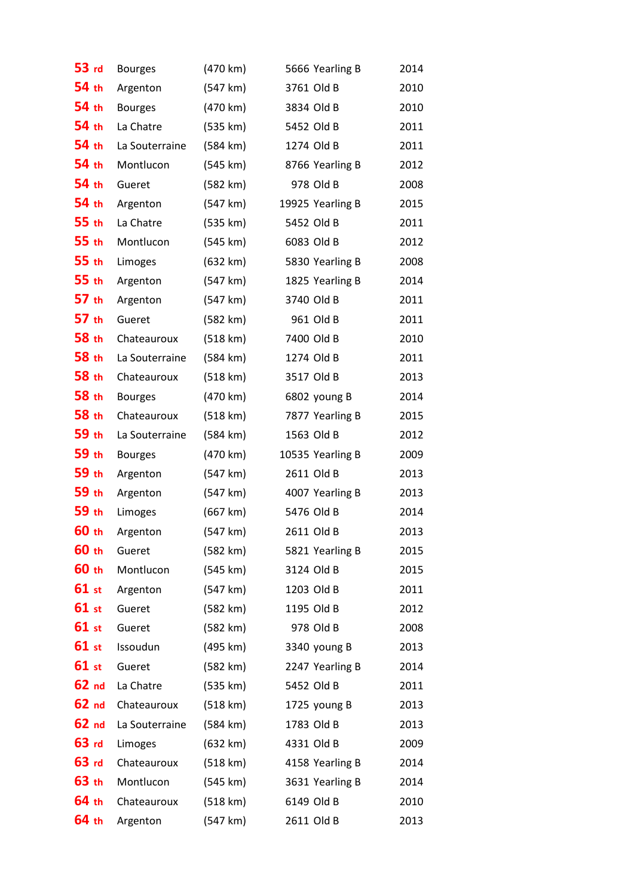| 53 rd            | <b>Bourges</b> | (470 km) | 5666 Yearling B  | 2014 |
|------------------|----------------|----------|------------------|------|
| 54 th            | Argenton       | (547 km) | 3761 Old B       | 2010 |
| 54 th            | <b>Bourges</b> | (470 km) | 3834 Old B       | 2010 |
| 54 th            | La Chatre      | (535 km) | 5452 Old B       | 2011 |
| 54 th            | La Souterraine | (584 km) | 1274 Old B       | 2011 |
| 54 th            | Montlucon      | (545 km) | 8766 Yearling B  | 2012 |
| 54 th            | Gueret         | (582 km) | 978 Old B        | 2008 |
| 54 th            | Argenton       | (547 km) | 19925 Yearling B | 2015 |
| 55 th            | La Chatre      | (535 km) | 5452 Old B       | 2011 |
| 55 th            | Montlucon      | (545 km) | 6083 Old B       | 2012 |
| 55 th            | Limoges        | (632 km) | 5830 Yearling B  | 2008 |
| 55 <sub>th</sub> | Argenton       | (547 km) | 1825 Yearling B  | 2014 |
| 57 th            | Argenton       | (547 km) | 3740 Old B       | 2011 |
| 57 th            | Gueret         | (582 km) | 961 Old B        | 2011 |
| 58 th            | Chateauroux    | (518 km) | 7400 Old B       | 2010 |
| 58 th            | La Souterraine | (584 km) | 1274 Old B       | 2011 |
| 58 th            | Chateauroux    | (518 km) | 3517 Old B       | 2013 |
| 58 th            | <b>Bourges</b> | (470 km) | 6802 young B     | 2014 |
| 58 th            | Chateauroux    | (518 km) | 7877 Yearling B  | 2015 |
| 59 th            | La Souterraine | (584 km) | 1563 Old B       | 2012 |
| 59 th            | <b>Bourges</b> | (470 km) | 10535 Yearling B | 2009 |
| 59 th            | Argenton       | (547 km) | 2611 Old B       | 2013 |
| 59 th            | Argenton       | (547 km) | 4007 Yearling B  | 2013 |
| 59 th            | Limoges        | (667 km) | 5476 Old B       | 2014 |
| 60 th            | Argenton       | (547 km) | 2611 Old B       | 2013 |
| 60 th            | Gueret         | (582 km) | 5821 Yearling B  | 2015 |
| 60 th            | Montlucon      | (545 km) | 3124 Old B       | 2015 |
| 61 st            | Argenton       | (547 km) | 1203 Old B       | 2011 |
| 61 st            | Gueret         | (582 km) | 1195 Old B       | 2012 |
| 61 st            | Gueret         | (582 km) | 978 Old B        | 2008 |
| 61 st            | Issoudun       | (495 km) | 3340 young B     | 2013 |
| 61 st            | Gueret         | (582 km) | 2247 Yearling B  | 2014 |
| 62 <sub>nd</sub> | La Chatre      | (535 km) | 5452 Old B       | 2011 |
| 62 <sub>nd</sub> | Chateauroux    | (518 km) | 1725 young B     | 2013 |
| 62 <sub>nd</sub> | La Souterraine | (584 km) | 1783 Old B       | 2013 |
| $63$ rd          | Limoges        | (632 km) | 4331 Old B       | 2009 |
| $63$ rd          | Chateauroux    | (518 km) | 4158 Yearling B  | 2014 |
| 63 th            | Montlucon      | (545 km) | 3631 Yearling B  | 2014 |
| 64 th            | Chateauroux    | (518 km) | 6149 Old B       | 2010 |
| 64 th            | Argenton       | (547 km) | 2611 Old B       | 2013 |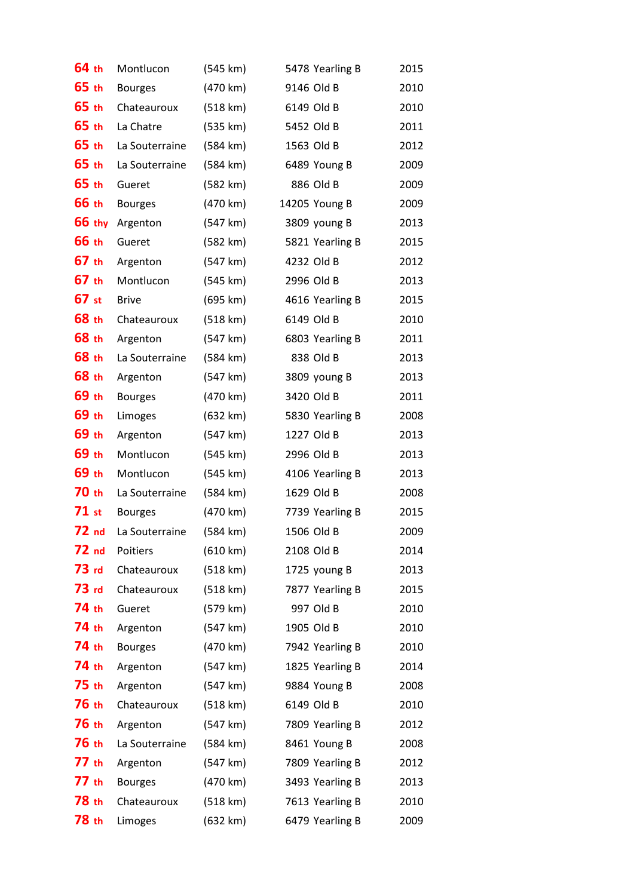| 64 th            | Montlucon      | (545 km) | 5478 Yearling B | 2015 |
|------------------|----------------|----------|-----------------|------|
| 65 th            | <b>Bourges</b> | (470 km) | 9146 Old B      | 2010 |
| 65 th            | Chateauroux    | (518 km) | 6149 Old B      | 2010 |
| 65 th            | La Chatre      | (535 km) | 5452 Old B      | 2011 |
| 65 th            | La Souterraine | (584 km) | 1563 Old B      | 2012 |
| 65 th            | La Souterraine | (584 km) | 6489 Young B    | 2009 |
| 65 th            | Gueret         | (582 km) | 886 Old B       | 2009 |
| <b>66 th</b>     | <b>Bourges</b> | (470 km) | 14205 Young B   | 2009 |
| <b>66 thy</b>    | Argenton       | (547 km) | 3809 young B    | 2013 |
| 66 th            | Gueret         | (582 km) | 5821 Yearling B | 2015 |
| 67 th            | Argenton       | (547 km) | 4232 Old B      | 2012 |
| 67 th            | Montlucon      | (545 km) | 2996 Old B      | 2013 |
| 67 st            | <b>Brive</b>   | (695 km) | 4616 Yearling B | 2015 |
| 68 th            | Chateauroux    | (518 km) | 6149 Old B      | 2010 |
| <b>68 th</b>     | Argenton       | (547 km) | 6803 Yearling B | 2011 |
| 68 th            | La Souterraine | (584 km) | 838 Old B       | 2013 |
| 68 th            | Argenton       | (547 km) | 3809 young B    | 2013 |
| 69 th            | <b>Bourges</b> | (470 km) | 3420 Old B      | 2011 |
| 69 th            | Limoges        | (632 km) | 5830 Yearling B | 2008 |
| 69 th            | Argenton       | (547 km) | 1227 Old B      | 2013 |
| 69 th            | Montlucon      | (545 km) | 2996 Old B      | 2013 |
| 69 th            | Montlucon      | (545 km) | 4106 Yearling B | 2013 |
| 70 th            | La Souterraine | (584 km) | 1629 Old B      | 2008 |
| $71$ st          | <b>Bourges</b> | (470 km) | 7739 Yearling B | 2015 |
| 72 <sub>nd</sub> | La Souterraine | (584 km) | 1506 Old B      | 2009 |
| 72 <sub>nd</sub> | Poitiers       | (610 km) | 2108 Old B      | 2014 |
| 73 <sub>rd</sub> | Chateauroux    | (518 km) | 1725 young B    | 2013 |
| $73$ rd          | Chateauroux    | (518 km) | 7877 Yearling B | 2015 |
| 74 th            | Gueret         | (579 km) | 997 Old B       | 2010 |
| 74 th            | Argenton       | (547 km) | 1905 Old B      | 2010 |
| 74 th            | <b>Bourges</b> | (470 km) | 7942 Yearling B | 2010 |
| 74 th            | Argenton       | (547 km) | 1825 Yearling B | 2014 |
| 75 th            | Argenton       | (547 km) | 9884 Young B    | 2008 |
| <b>76 th</b>     | Chateauroux    | (518 km) | 6149 Old B      | 2010 |
| <b>76 th</b>     | Argenton       | (547 km) | 7809 Yearling B | 2012 |
| <b>76 th</b>     | La Souterraine | (584 km) | 8461 Young B    | 2008 |
| 77 th            | Argenton       | (547 km) | 7809 Yearling B | 2012 |
| 77 th            | <b>Bourges</b> | (470 km) | 3493 Yearling B | 2013 |
| 78 th            | Chateauroux    | (518 km) | 7613 Yearling B | 2010 |
| 78 th            | Limoges        | (632 km) | 6479 Yearling B | 2009 |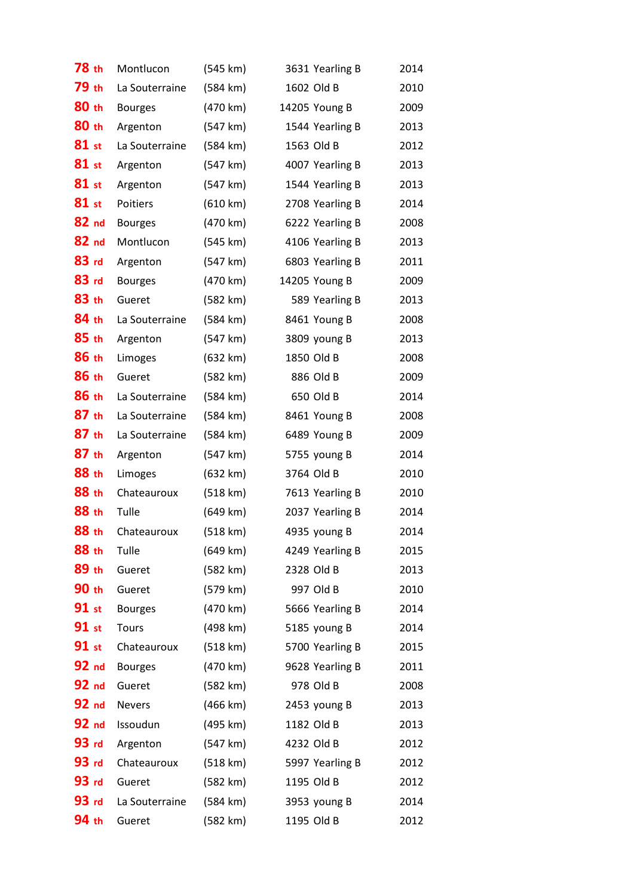| <b>78 th</b> | Montlucon       | (545 km) | 3631 Yearling B | 2014 |
|--------------|-----------------|----------|-----------------|------|
| 79 th        | La Souterraine  | (584 km) | 1602 Old B      | 2010 |
| 80 th        | <b>Bourges</b>  | (470 km) | 14205 Young B   | 2009 |
| 80 th        | Argenton        | (547 km) | 1544 Yearling B | 2013 |
| 81 st        | La Souterraine  | (584 km) | 1563 Old B      | 2012 |
| 81 st        | Argenton        | (547 km) | 4007 Yearling B | 2013 |
| 81 st        | Argenton        | (547 km) | 1544 Yearling B | 2013 |
| $81$ st      | <b>Poitiers</b> | (610 km) | 2708 Yearling B | 2014 |
| $82$ nd      | <b>Bourges</b>  | (470 km) | 6222 Yearling B | 2008 |
| 82 nd        | Montlucon       | (545 km) | 4106 Yearling B | 2013 |
| 83 rd        | Argenton        | (547 km) | 6803 Yearling B | 2011 |
| 83 rd        | <b>Bourges</b>  | (470 km) | 14205 Young B   | 2009 |
| 83 th        | Gueret          | (582 km) | 589 Yearling B  | 2013 |
| 84 th        | La Souterraine  | (584 km) | 8461 Young B    | 2008 |
| 85th         | Argenton        | (547 km) | 3809 young B    | 2013 |
| 86 th        | Limoges         | (632 km) | 1850 Old B      | 2008 |
| 86 th        | Gueret          | (582 km) | 886 Old B       | 2009 |
| 86 th        | La Souterraine  | (584 km) | 650 Old B       | 2014 |
| 87 th        | La Souterraine  | (584 km) | 8461 Young B    | 2008 |
| 87 th        | La Souterraine  | (584 km) | 6489 Young B    | 2009 |
| 87 th        | Argenton        | (547 km) | 5755 young B    | 2014 |
| 88 th        | Limoges         | (632 km) | 3764 Old B      | 2010 |
| 88 th        | Chateauroux     | (518 km) | 7613 Yearling B | 2010 |
| 88 th        | Tulle           | (649 km) | 2037 Yearling B | 2014 |
| 88 th        | Chateauroux     | (518 km) | 4935 young B    | 2014 |
| 88 th        | Tulle           | (649 km) | 4249 Yearling B | 2015 |
| 89 th        | Gueret          | (582 km) | 2328 Old B      | 2013 |
| 90 th        | Gueret          | (579 km) | 997 Old B       | 2010 |
| 91 st        | <b>Bourges</b>  | (470 km) | 5666 Yearling B | 2014 |
| 91 st        | Tours           | (498 km) | 5185 young B    | 2014 |
| 91 st        | Chateauroux     | (518 km) | 5700 Yearling B | 2015 |
| 92 nd        | <b>Bourges</b>  | (470 km) | 9628 Yearling B | 2011 |
| 92 nd        | Gueret          | (582 km) | 978 Old B       | 2008 |
| 92 nd        | <b>Nevers</b>   | (466 km) | 2453 young B    | 2013 |
| <b>92 nd</b> | Issoudun        | (495 km) | 1182 Old B      | 2013 |
| 93 rd        | Argenton        | (547 km) | 4232 Old B      | 2012 |
| 93 rd        | Chateauroux     | (518 km) | 5997 Yearling B | 2012 |
| 93 rd        | Gueret          | (582 km) | 1195 Old B      | 2012 |
| $93$ rd      | La Souterraine  | (584 km) | 3953 young B    | 2014 |
| 94 th        | Gueret          | (582 km) | 1195 Old B      | 2012 |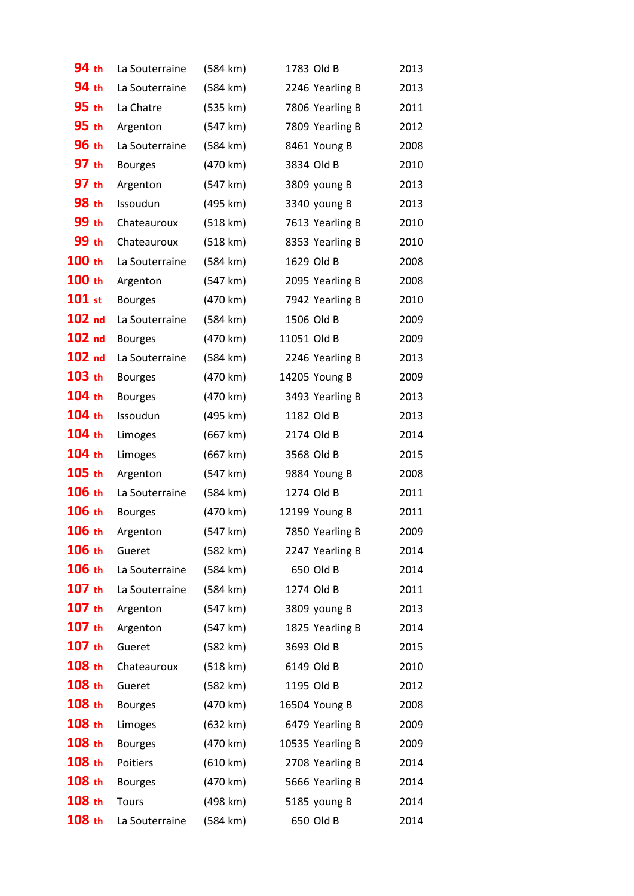| 94 th             | La Souterraine | (584 km)           | 1783 Old B       | 2013 |
|-------------------|----------------|--------------------|------------------|------|
| 94 th             | La Souterraine | (584 km)           | 2246 Yearling B  | 2013 |
| 95 th             | La Chatre      | (535 km)           | 7806 Yearling B  | 2011 |
| 95 th             | Argenton       | (547 km)           | 7809 Yearling B  | 2012 |
| 96 th             | La Souterraine | $(584 \text{ km})$ | 8461 Young B     | 2008 |
| 97 th             | <b>Bourges</b> | (470 km)           | 3834 Old B       | 2010 |
| 97 th             | Argenton       | (547 km)           | 3809 young B     | 2013 |
| 98 th             | Issoudun       | (495 km)           | 3340 young B     | 2013 |
| 99 th             | Chateauroux    | (518 km)           | 7613 Yearling B  | 2010 |
| 99 th             | Chateauroux    | (518 km)           | 8353 Yearling B  | 2010 |
| 100 th            | La Souterraine | (584 km)           | 1629 Old B       | 2008 |
| 100 th            | Argenton       | (547 km)           | 2095 Yearling B  | 2008 |
| $101$ st          | <b>Bourges</b> | (470 km)           | 7942 Yearling B  | 2010 |
| 102 <sub>nd</sub> | La Souterraine | (584 km)           | 1506 Old B       | 2009 |
| $102$ nd          | <b>Bourges</b> | (470 km)           | 11051 Old B      | 2009 |
| 102 <sub>nd</sub> | La Souterraine | (584 km)           | 2246 Yearling B  | 2013 |
| 103 th            | <b>Bourges</b> | (470 km)           | 14205 Young B    | 2009 |
| 104 th            | <b>Bourges</b> | (470 km)           | 3493 Yearling B  | 2013 |
| 104 th            | Issoudun       | (495 km)           | 1182 Old B       | 2013 |
| 104 th            | Limoges        | (667 km)           | 2174 Old B       | 2014 |
| 104 th            | Limoges        | (667 km)           | 3568 Old B       | 2015 |
| 105 th            | Argenton       | (547 km)           | 9884 Young B     | 2008 |
| 106 th            | La Souterraine | $(584 \text{ km})$ | 1274 Old B       | 2011 |
| 106 th            | <b>Bourges</b> | (470 km)           | 12199 Young B    | 2011 |
| 106 th            | Argenton       | (547 km)           | 7850 Yearling B  | 2009 |
| 106 th            | Gueret         | (582 km)           | 2247 Yearling B  | 2014 |
| 106 th            | La Souterraine | $(584 \text{ km})$ | 650 Old B        | 2014 |
| $107$ th          | La Souterraine | (584 km)           | 1274 Old B       | 2011 |
| $107$ th          | Argenton       | (547 km)           | 3809 young B     | 2013 |
| $107$ th          | Argenton       | (547 km)           | 1825 Yearling B  | 2014 |
| $107$ th          | Gueret         | (582 km)           | 3693 Old B       | 2015 |
| 108 th            | Chateauroux    | (518 km)           | 6149 Old B       | 2010 |
| 108 th            | Gueret         | (582 km)           | 1195 Old B       | 2012 |
| 108 th            | <b>Bourges</b> | (470 km)           | 16504 Young B    | 2008 |
| 108 th            | Limoges        | $(632 \text{ km})$ | 6479 Yearling B  | 2009 |
| 108 th            | <b>Bourges</b> | (470 km)           | 10535 Yearling B | 2009 |
| 108 th            | Poitiers       | $(610 \text{ km})$ | 2708 Yearling B  | 2014 |
| 108 th            | <b>Bourges</b> | (470 km)           | 5666 Yearling B  | 2014 |
| $108$ th          | Tours          | (498 km)           | 5185 young B     | 2014 |
| $108$ th          | La Souterraine | (584 km)           | 650 Old B        | 2014 |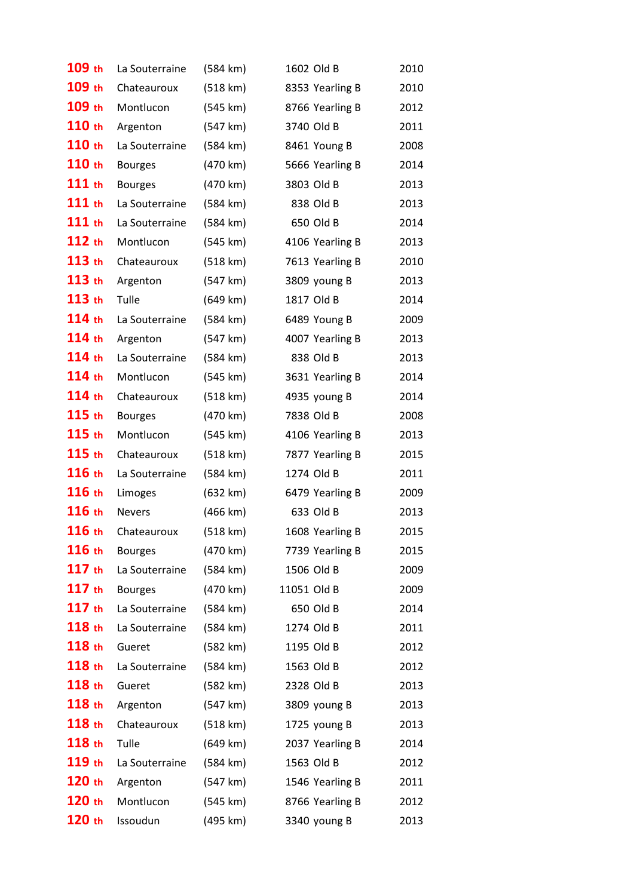| 109 th            | La Souterraine | (584 km)           | 1602 Old B      | 2010 |
|-------------------|----------------|--------------------|-----------------|------|
| 109 th            | Chateauroux    | (518 km)           | 8353 Yearling B | 2010 |
| 109 th            | Montlucon      | (545 km)           | 8766 Yearling B | 2012 |
| 110 th            | Argenton       | (547 km)           | 3740 Old B      | 2011 |
| 110 th            | La Souterraine | $(584 \text{ km})$ | 8461 Young B    | 2008 |
| 110 th            | <b>Bourges</b> | (470 km)           | 5666 Yearling B | 2014 |
| 111 th            | <b>Bourges</b> | (470 km)           | 3803 Old B      | 2013 |
| 111 th            | La Souterraine | (584 km)           | 838 Old B       | 2013 |
| 111 th            | La Souterraine | (584 km)           | 650 Old B       | 2014 |
| 112 th            | Montlucon      | (545 km)           | 4106 Yearling B | 2013 |
| 113 th            | Chateauroux    | (518 km)           | 7613 Yearling B | 2010 |
| 113 th            | Argenton       | (547 km)           | 3809 young B    | 2013 |
| 113 th            | Tulle          | (649 km)           | 1817 Old B      | 2014 |
| $114$ th          | La Souterraine | (584 km)           | 6489 Young B    | 2009 |
| 114 th            | Argenton       | (547 km)           | 4007 Yearling B | 2013 |
| 114 th            | La Souterraine | (584 km)           | 838 Old B       | 2013 |
| $114$ th          | Montlucon      | (545 km)           | 3631 Yearling B | 2014 |
| 114 th            | Chateauroux    | (518 km)           | 4935 young B    | 2014 |
| $115$ th          | <b>Bourges</b> | (470 km)           | 7838 Old B      | 2008 |
| $115$ th          | Montlucon      | (545 km)           | 4106 Yearling B | 2013 |
| $115$ th          | Chateauroux    | (518 km)           | 7877 Yearling B | 2015 |
| 116 th            | La Souterraine | (584 km)           | 1274 Old B      | 2011 |
| 116 th            | Limoges        | (632 km)           | 6479 Yearling B | 2009 |
| 116 th            | <b>Nevers</b>  | (466 km)           | 633 Old B       | 2013 |
| 116 th            | Chateauroux    | (518 km)           | 1608 Yearling B | 2015 |
| 116 th            | <b>Bourges</b> | (470 km)           | 7739 Yearling B | 2015 |
| $117$ th          | La Souterraine | (584 km)           | 1506 Old B      | 2009 |
| $117$ th          | <b>Bourges</b> | (470 km)           | 11051 Old B     | 2009 |
| $117$ th          | La Souterraine | (584 km)           | 650 Old B       | 2014 |
| 118 th            | La Souterraine | (584 km)           | 1274 Old B      | 2011 |
| 118 th            | Gueret         | (582 km)           | 1195 Old B      | 2012 |
| 118 th            | La Souterraine | (584 km)           | 1563 Old B      | 2012 |
| 118 th            | Gueret         | (582 km)           | 2328 Old B      | 2013 |
| 118 th            | Argenton       | (547 km)           | 3809 young B    | 2013 |
| 118 <sub>th</sub> | Chateauroux    | (518 km)           | 1725 young B    | 2013 |
| 118 th            | Tulle          | (649 km)           | 2037 Yearling B | 2014 |
| $119$ th          | La Souterraine | (584 km)           | 1563 Old B      | 2012 |
| 120 <sub>th</sub> | Argenton       | (547 km)           | 1546 Yearling B | 2011 |
| $120$ th          | Montlucon      | (545 km)           | 8766 Yearling B | 2012 |
| $120$ th          | Issoudun       | (495 km)           | 3340 young B    | 2013 |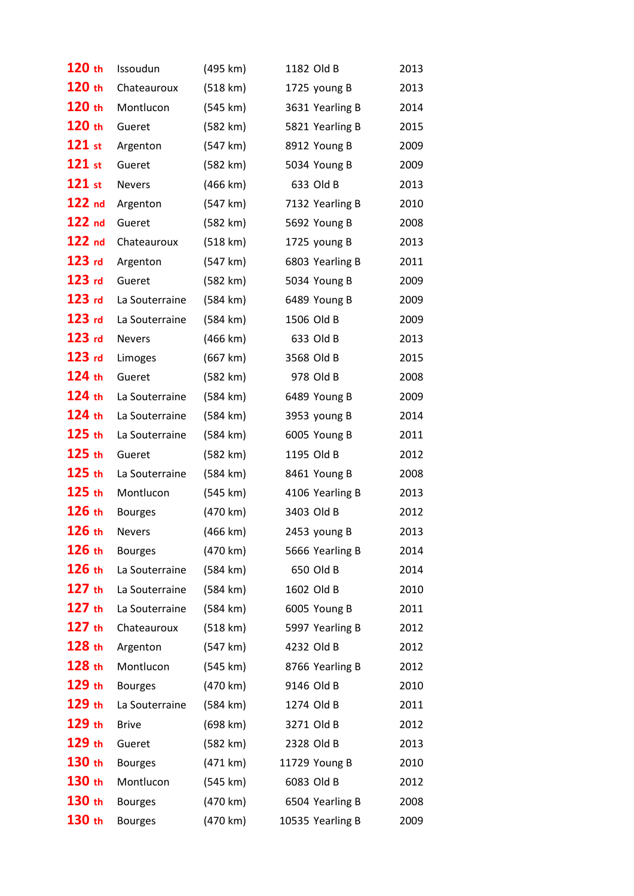| 120 th            | Issoudun       | (495 km)           | 1182 Old B       | 2013 |
|-------------------|----------------|--------------------|------------------|------|
| 120 th            | Chateauroux    | (518 km)           | 1725 young B     | 2013 |
| 120 th            | Montlucon      | (545 km)           | 3631 Yearling B  | 2014 |
| 120 th            | Gueret         | (582 km)           | 5821 Yearling B  | 2015 |
| $121$ st          | Argenton       | (547 km)           | 8912 Young B     | 2009 |
| $121$ st          | Gueret         | (582 km)           | 5034 Young B     | 2009 |
| $121$ st          | <b>Nevers</b>  | (466 km)           | 633 Old B        | 2013 |
| $122$ nd          | Argenton       | (547 km)           | 7132 Yearling B  | 2010 |
| $122$ nd          | Gueret         | (582 km)           | 5692 Young B     | 2008 |
| 122 <sub>nd</sub> | Chateauroux    | (518 km)           | 1725 young B     | 2013 |
| $123$ rd          | Argenton       | (547 km)           | 6803 Yearling B  | 2011 |
| $123$ rd          | Gueret         | (582 km)           | 5034 Young B     | 2009 |
| $123$ rd          | La Souterraine | $(584 \text{ km})$ | 6489 Young B     | 2009 |
| $123$ rd          | La Souterraine | (584 km)           | 1506 Old B       | 2009 |
| $123$ rd          | <b>Nevers</b>  | (466 km)           | 633 Old B        | 2013 |
| $123$ rd          | Limoges        | (667 km)           | 3568 Old B       | 2015 |
| $124$ th          | Gueret         | (582 km)           | 978 Old B        | 2008 |
| $124$ th          | La Souterraine | (584 km)           | 6489 Young B     | 2009 |
| $124$ th          | La Souterraine | (584 km)           | 3953 young B     | 2014 |
| $125$ th          | La Souterraine | $(584 \text{ km})$ | 6005 Young B     | 2011 |
| $125$ th          | Gueret         | (582 km)           | 1195 Old B       | 2012 |
| $125$ th          | La Souterraine | (584 km)           | 8461 Young B     | 2008 |
| $125$ th          | Montlucon      | (545 km)           | 4106 Yearling B  | 2013 |
| $126$ th          | <b>Bourges</b> | (470 km)           | 3403 Old B       | 2012 |
| 126 th            | <b>Nevers</b>  | (466 km)           | 2453 young B     | 2013 |
| 126 th            | <b>Bourges</b> | (470 km)           | 5666 Yearling B  | 2014 |
| 126 th            | La Souterraine | $(584 \text{ km})$ | 650 Old B        | 2014 |
| $127$ th          | La Souterraine | (584 km)           | 1602 Old B       | 2010 |
| $127$ th          | La Souterraine | (584 km)           | 6005 Young B     | 2011 |
| $127$ th          | Chateauroux    | (518 km)           | 5997 Yearling B  | 2012 |
| 128 th            | Argenton       | (547 km)           | 4232 Old B       | 2012 |
| 128 th            | Montlucon      | (545 km)           | 8766 Yearling B  | 2012 |
| 129 th            | <b>Bourges</b> | (470 km)           | 9146 Old B       | 2010 |
| 129 th            | La Souterraine | $(584 \text{ km})$ | 1274 Old B       | 2011 |
| $129$ th          | <b>Brive</b>   | (698 km)           | 3271 Old B       | 2012 |
| 129 th            | Gueret         | (582 km)           | 2328 Old B       | 2013 |
| 130 <sub>th</sub> | <b>Bourges</b> | (471 km)           | 11729 Young B    | 2010 |
| 130 <sub>th</sub> | Montlucon      | (545 km)           | 6083 Old B       | 2012 |
| 130 <sub>th</sub> | <b>Bourges</b> | $(470 \text{ km})$ | 6504 Yearling B  | 2008 |
| 130 th            | <b>Bourges</b> | (470 km)           | 10535 Yearling B | 2009 |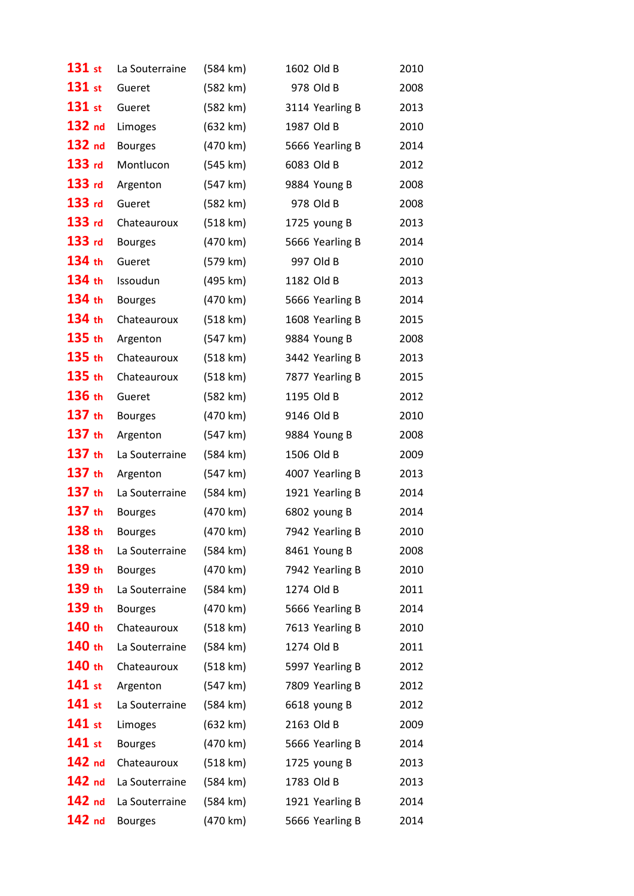| 131 st            | La Souterraine | (584 km)           | 1602 Old B      | 2010 |
|-------------------|----------------|--------------------|-----------------|------|
| $131$ st          | Gueret         | (582 km)           | 978 Old B       | 2008 |
| 131 st            | Gueret         | (582 km)           | 3114 Yearling B | 2013 |
| 132 nd            | Limoges        | (632 km)           | 1987 Old B      | 2010 |
| 132 nd            | <b>Bourges</b> | (470 km)           | 5666 Yearling B | 2014 |
| $133$ rd          | Montlucon      | (545 km)           | 6083 Old B      | 2012 |
| 133 rd            | Argenton       | (547 km)           | 9884 Young B    | 2008 |
| $133$ rd          | Gueret         | (582 km)           | 978 Old B       | 2008 |
| $133$ rd          | Chateauroux    | (518 km)           | 1725 young B    | 2013 |
| $133$ rd          | <b>Bourges</b> | (470 km)           | 5666 Yearling B | 2014 |
| 134 th            | Gueret         | (579 km)           | 997 Old B       | 2010 |
| 134 th            | Issoudun       | (495 km)           | 1182 Old B      | 2013 |
| 134 th            | <b>Bourges</b> | (470 km)           | 5666 Yearling B | 2014 |
| 134 th            | Chateauroux    | (518 km)           | 1608 Yearling B | 2015 |
| $135$ th          | Argenton       | (547 km)           | 9884 Young B    | 2008 |
| $135$ th          | Chateauroux    | (518 km)           | 3442 Yearling B | 2013 |
| $135$ th          | Chateauroux    | (518 km)           | 7877 Yearling B | 2015 |
| 136 th            | Gueret         | (582 km)           | 1195 Old B      | 2012 |
| $137$ th          | <b>Bourges</b> | (470 km)           | 9146 Old B      | 2010 |
| $137$ th          | Argenton       | (547 km)           | 9884 Young B    | 2008 |
| $137$ th          | La Souterraine | (584 km)           | 1506 Old B      | 2009 |
| $137$ th          | Argenton       | (547 km)           | 4007 Yearling B | 2013 |
| $137$ th          | La Souterraine | $(584 \text{ km})$ | 1921 Yearling B | 2014 |
| $137$ th          | <b>Bourges</b> | (470 km)           | 6802 young B    | 2014 |
| 138 th            | <b>Bourges</b> | (470 km)           | 7942 Yearling B | 2010 |
| 138 th            | La Souterraine | (584 km)           | 8461 Young B    | 2008 |
| 139 th            | <b>Bourges</b> | (470 km)           | 7942 Yearling B | 2010 |
| 139 th            | La Souterraine | (584 km)           | 1274 Old B      | 2011 |
| $139$ th          | <b>Bourges</b> | (470 km)           | 5666 Yearling B | 2014 |
| 140 th            | Chateauroux    | (518 km)           | 7613 Yearling B | 2010 |
| 140 th            | La Souterraine | (584 km)           | 1274 Old B      | 2011 |
| 140 th            | Chateauroux    | (518 km)           | 5997 Yearling B | 2012 |
| $141$ st          | Argenton       | (547 km)           | 7809 Yearling B | 2012 |
| $141$ st          | La Souterraine | (584 km)           | 6618 young B    | 2012 |
| $141$ st          | Limoges        | (632 km)           | 2163 Old B      | 2009 |
| $141$ st          | <b>Bourges</b> | (470 km)           | 5666 Yearling B | 2014 |
| 142 <sub>nd</sub> | Chateauroux    | (518 km)           | 1725 young B    | 2013 |
| 142 <sub>nd</sub> | La Souterraine | (584 km)           | 1783 Old B      | 2013 |
| 142 <sub>nd</sub> | La Souterraine | (584 km)           | 1921 Yearling B | 2014 |
| 142 <sub>nd</sub> | <b>Bourges</b> | (470 km)           | 5666 Yearling B | 2014 |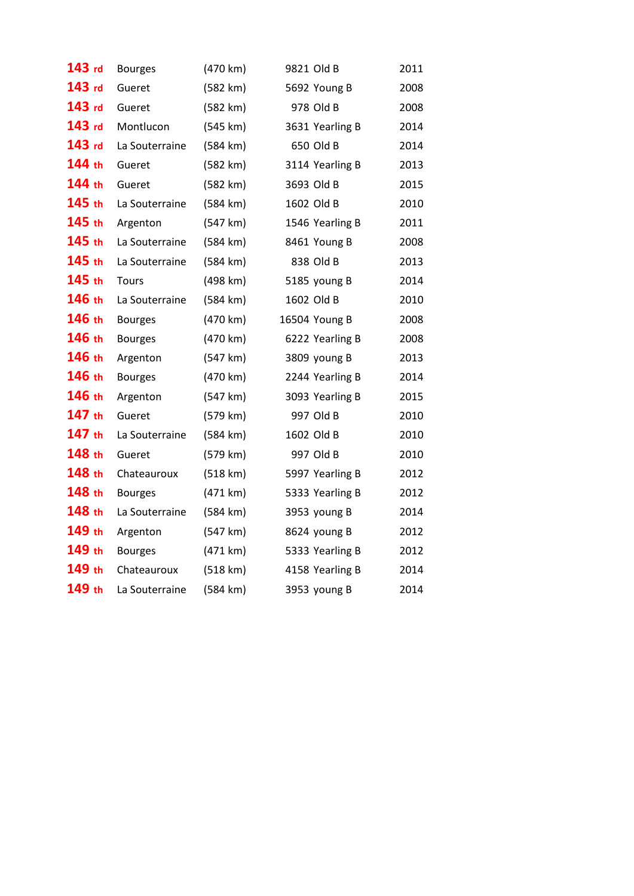| 143 rd | <b>Bourges</b> | (470 km) | 9821 Old B      | 2011 |
|--------|----------------|----------|-----------------|------|
| 143 rd | Gueret         | (582 km) | 5692 Young B    | 2008 |
| 143 rd | Gueret         | (582 km) | 978 Old B       | 2008 |
| 143 rd | Montlucon      | (545 km) | 3631 Yearling B | 2014 |
| 143 rd | La Souterraine | (584 km) | 650 Old B       | 2014 |
| 144 th | Gueret         | (582 km) | 3114 Yearling B | 2013 |
| 144 th | Gueret         | (582 km) | 3693 Old B      | 2015 |
| 145 th | La Souterraine | (584 km) | 1602 Old B      | 2010 |
| 145 th | Argenton       | (547 km) | 1546 Yearling B | 2011 |
| 145 th | La Souterraine | (584 km) | 8461 Young B    | 2008 |
| 145 th | La Souterraine | (584 km) | 838 Old B       | 2013 |
| 145 th | <b>Tours</b>   | (498 km) | 5185 young B    | 2014 |
| 146 th | La Souterraine | (584 km) | 1602 Old B      | 2010 |
| 146 th | <b>Bourges</b> | (470 km) | 16504 Young B   | 2008 |
| 146 th | <b>Bourges</b> | (470 km) | 6222 Yearling B | 2008 |
| 146 th | Argenton       | (547 km) | 3809 young B    | 2013 |
| 146 th | <b>Bourges</b> | (470 km) | 2244 Yearling B | 2014 |
| 146 th | Argenton       | (547 km) | 3093 Yearling B | 2015 |
| 147 th | Gueret         | (579 km) | 997 Old B       | 2010 |
| 147 th | La Souterraine | (584 km) | 1602 Old B      | 2010 |
| 148 th | Gueret         | (579 km) | 997 Old B       | 2010 |
| 148 th | Chateauroux    | (518 km) | 5997 Yearling B | 2012 |
| 148 th | <b>Bourges</b> | (471 km) | 5333 Yearling B | 2012 |
| 148 th | La Souterraine | (584 km) | 3953 young B    | 2014 |
| 149 th | Argenton       | (547 km) | 8624 young B    | 2012 |
| 149 th | <b>Bourges</b> | (471 km) | 5333 Yearling B | 2012 |
| 149 th | Chateauroux    | (518 km) | 4158 Yearling B | 2014 |
| 149 th | La Souterraine | (584 km) | 3953 young B    | 2014 |